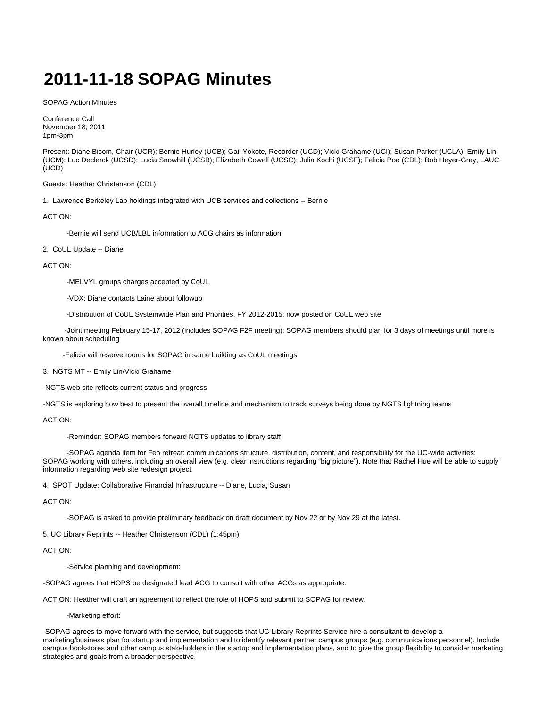# **2011-11-18 SOPAG Minutes**

SOPAG Action Minutes

Conference Call November 18, 2011 1pm-3pm

Present: Diane Bisom, Chair (UCR); Bernie Hurley (UCB); Gail Yokote, Recorder (UCD); Vicki Grahame (UCI); Susan Parker (UCLA); Emily Lin (UCM); Luc Declerck (UCSD); Lucia Snowhill (UCSB); Elizabeth Cowell (UCSC); Julia Kochi (UCSF); Felicia Poe (CDL); Bob Heyer-Gray, LAUC (UCD)

### Guests: Heather Christenson (CDL)

1. Lawrence Berkeley Lab holdings integrated with UCB services and collections -- Bernie

## ACTION:

-Bernie will send UCB/LBL information to ACG chairs as information.

### 2. CoUL Update -- Diane

### ACTION:

-MELVYL groups charges accepted by CoUL

-VDX: Diane contacts Laine about followup

-Distribution of CoUL Systemwide Plan and Priorities, FY 2012-2015: now posted on CoUL web site

 -Joint meeting February 15-17, 2012 (includes SOPAG F2F meeting): SOPAG members should plan for 3 days of meetings until more is known about scheduling

-Felicia will reserve rooms for SOPAG in same building as CoUL meetings

3. NGTS MT -- Emily Lin/Vicki Grahame

-NGTS web site reflects current status and progress

-NGTS is exploring how best to present the overall timeline and mechanism to track surveys being done by NGTS lightning teams

## ACTION:

-Reminder: SOPAG members forward NGTS updates to library staff

 -SOPAG agenda item for Feb retreat: communications structure, distribution, content, and responsibility for the UC-wide activities: SOPAG working with others, including an overall view (e.g. clear instructions regarding "big picture"). Note that Rachel Hue will be able to supply information regarding web site redesign project.

4. SPOT Update: Collaborative Financial Infrastructure -- Diane, Lucia, Susan

#### ACTION:

-SOPAG is asked to provide preliminary feedback on draft document by Nov 22 or by Nov 29 at the latest.

5. UC Library Reprints -- Heather Christenson (CDL) (1:45pm)

## ACTION:

-Service planning and development:

-SOPAG agrees that HOPS be designated lead ACG to consult with other ACGs as appropriate.

ACTION: Heather will draft an agreement to reflect the role of HOPS and submit to SOPAG for review.

-Marketing effort:

-SOPAG agrees to move forward with the service, but suggests that UC Library Reprints Service hire a consultant to develop a marketing/business plan for startup and implementation and to identify relevant partner campus groups (e.g. communications personnel). Include campus bookstores and other campus stakeholders in the startup and implementation plans, and to give the group flexibility to consider marketing strategies and goals from a broader perspective.